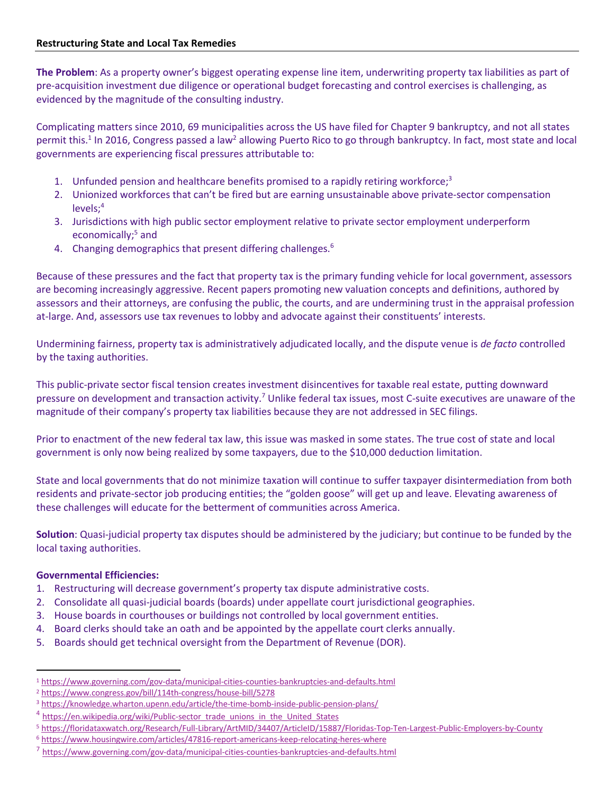**The Problem**: As a property owner's biggest operating expense line item, underwriting property tax liabilities as part of pre-acquisition investment due diligence or operational budget forecasting and control exercises is challenging, as evidenced by the magnitude of the consulting industry.

Complicating matters since 2010, 69 municipalities across the US have filed for Chapter 9 bankruptcy, and not all states permit this.<sup>1</sup> In 2016, Congress passed a law<sup>2</sup> allowing Puerto Rico to go through bankruptcy. In fact, most state and local governments are experiencing fiscal pressures attributable to:

- 1. Unfunded pension and healthcare benefits promised to a rapidly retiring workforce;<sup>3</sup>
- 2. Unionized workforces that can't be fired but are earning unsustainable above private-sector compensation levels; 4
- 3. Jurisdictions with high public sector employment relative to private sector employment underperform economically; <sup>5</sup> and
- 4. Changing demographics that present differing challenges.<sup>6</sup>

Because of these pressures and the fact that property tax is the primary funding vehicle for local government, assessors are becoming increasingly aggressive. Recent papers promoting new valuation concepts and definitions, authored by assessors and their attorneys, are confusing the public, the courts, and are undermining trust in the appraisal profession at-large. And, assessors use tax revenues to lobby and advocate against their constituents' interests.

Undermining fairness, property tax is administratively adjudicated locally, and the dispute venue is *de facto* controlled by the taxing authorities.

This public-private sector fiscal tension creates investment disincentives for taxable real estate, putting downward pressure on development and transaction activity.7 Unlike federal tax issues, most C-suite executives are unaware of the magnitude of their company's property tax liabilities because they are not addressed in SEC filings.

Prior to enactment of the new federal tax law, this issue was masked in some states. The true cost of state and local government is only now being realized by some taxpayers, due to the \$10,000 deduction limitation.

State and local governments that do not minimize taxation will continue to suffer taxpayer disintermediation from both residents and private-sector job producing entities; the "golden goose" will get up and leave. Elevating awareness of these challenges will educate for the betterment of communities across America.

**Solution**: Quasi-judicial property tax disputes should be administered by the judiciary; but continue to be funded by the local taxing authorities.

### **Governmental Efficiencies:**

- 1. Restructuring will decrease government's property tax dispute administrative costs.
- 2. Consolidate all quasi-judicial boards (boards) under appellate court jurisdictional geographies.
- 3. House boards in courthouses or buildings not controlled by local government entities.
- 4. Board clerks should take an oath and be appointed by the appellate court clerks annually.
- 5. Boards should get technical oversight from the Department of Revenue (DOR).

<sup>1</sup> https://www.governing.com/gov-data/municipal-cities-counties-bankruptcies-and-defaults.html

<sup>2</sup> https://www.congress.gov/bill/114th-congress/house-bill/5278

<sup>3</sup> https://knowledge.wharton.upenn.edu/article/the-time-bomb-inside-public-pension-plans/

<sup>&</sup>lt;sup>4</sup> https://en.wikipedia.org/wiki/Public-sector\_trade\_unions\_in\_the\_United\_States 3 https://floridataxwatch.org/Research/Full-Library/ArtMID/34407/ArticleID/15887/Floridas-Top-Ten-Largest-Public-Employers-by-County

<sup>6</sup> https://www.housingwire.com/articles/47816-report-americans-keep-relocating-heres-where

<sup>&</sup>lt;sup>7</sup> https://www.governing.com/gov-data/municipal-cities-counties-bankruptcies-and-defaults.html